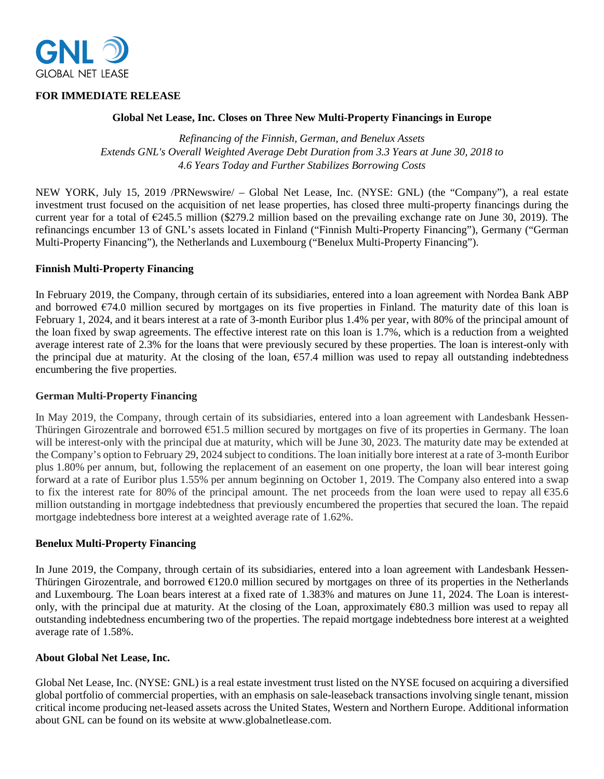

# **FOR IMMEDIATE RELEASE**

## **Global Net Lease, Inc. Closes on Three New Multi-Property Financings in Europe**

*Refinancing of the Finnish, German, and Benelux Assets Extends GNL's Overall Weighted Average Debt Duration from 3.3 Years at June 30, 2018 to 4.6 Years Today and Further Stabilizes Borrowing Costs* 

NEW YORK, July 15, 2019 /PRNewswire/ – Global Net Lease, Inc. (NYSE: GNL) (the "Company"), a real estate investment trust focused on the acquisition of net lease properties, has closed three multi-property financings during the current year for a total of  $\epsilon$ 245.5 million (\$279.2 million based on the prevailing exchange rate on June 30, 2019). The refinancings encumber 13 of GNL's assets located in Finland ("Finnish Multi-Property Financing"), Germany ("German Multi-Property Financing"), the Netherlands and Luxembourg ("Benelux Multi-Property Financing").

## **Finnish Multi-Property Financing**

In February 2019, the Company, through certain of its subsidiaries, entered into a loan agreement with Nordea Bank ABP and borrowed  $\epsilon$ 74.0 million secured by mortgages on its five properties in Finland. The maturity date of this loan is February 1, 2024, and it bears interest at a rate of 3-month Euribor plus 1.4% per year, with 80% of the principal amount of the loan fixed by swap agreements. The effective interest rate on this loan is 1.7%, which is a reduction from a weighted average interest rate of 2.3% for the loans that were previously secured by these properties. The loan is interest-only with the principal due at maturity. At the closing of the loan,  $\epsilon$ 57.4 million was used to repay all outstanding indebtedness encumbering the five properties.

#### **German Multi-Property Financing**

In May 2019, the Company, through certain of its subsidiaries, entered into a loan agreement with Landesbank Hessen-Thüringen Girozentrale and borrowed  $\epsilon$ 51.5 million secured by mortgages on five of its properties in Germany. The loan will be interest-only with the principal due at maturity, which will be June 30, 2023. The maturity date may be extended at the Company's option to February 29, 2024 subject to conditions. The loan initially bore interest at a rate of 3-month Euribor plus 1.80% per annum, but, following the replacement of an easement on one property, the loan will bear interest going forward at a rate of Euribor plus 1.55% per annum beginning on October 1, 2019. The Company also entered into a swap to fix the interest rate for 80% of the principal amount. The net proceeds from the loan were used to repay all  $635.6$ million outstanding in mortgage indebtedness that previously encumbered the properties that secured the loan. The repaid mortgage indebtedness bore interest at a weighted average rate of 1.62%.

#### **Benelux Multi-Property Financing**

In June 2019, the Company, through certain of its subsidiaries, entered into a loan agreement with Landesbank Hessen-Thüringen Girozentrale, and borrowed  $E120.0$  million secured by mortgages on three of its properties in the Netherlands and Luxembourg. The Loan bears interest at a fixed rate of 1.383% and matures on June 11, 2024. The Loan is interestonly, with the principal due at maturity. At the closing of the Loan, approximately  $\epsilon$ 80.3 million was used to repay all outstanding indebtedness encumbering two of the properties. The repaid mortgage indebtedness bore interest at a weighted average rate of 1.58%.

## **About Global Net Lease, Inc.**

Global Net Lease, Inc. (NYSE: GNL) is a real estate investment trust listed on the NYSE focused on acquiring a diversified global portfolio of commercial properties, with an emphasis on sale-leaseback transactions involving single tenant, mission critical income producing net-leased assets across the United States, Western and Northern Europe. Additional information about GNL can be found on its website at www.globalnetlease.com.